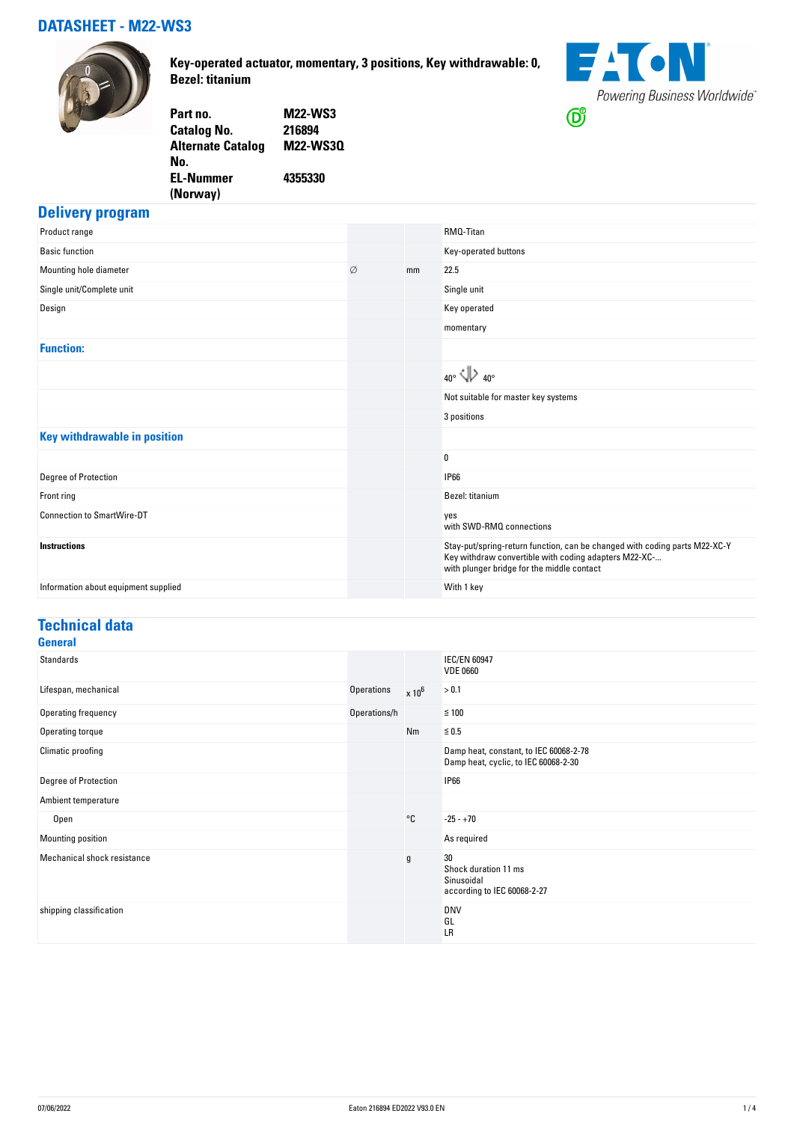### **DATASHEET - M22-WS3**



**Key-operated actuator, momentary, 3 positions, Key withdrawable: 0, Bezel: titanium**



| <b>M22-WS3</b>  |
|-----------------|
|                 |
| <b>M22-WS30</b> |
|                 |
|                 |
|                 |
|                 |

#### **Delivery program**

| Product range                        |   |    | RMQ-Titan                                                                                                                                                                         |
|--------------------------------------|---|----|-----------------------------------------------------------------------------------------------------------------------------------------------------------------------------------|
| <b>Basic function</b>                |   |    | Key-operated buttons                                                                                                                                                              |
| Mounting hole diameter               | Ø | mm | 22.5                                                                                                                                                                              |
| Single unit/Complete unit            |   |    | Single unit                                                                                                                                                                       |
| Design                               |   |    | Key operated                                                                                                                                                                      |
|                                      |   |    | momentary                                                                                                                                                                         |
| <b>Function:</b>                     |   |    |                                                                                                                                                                                   |
|                                      |   |    | $_{40^{\circ}}$ $\langle \rangle$ $_{40^{\circ}}$                                                                                                                                 |
|                                      |   |    | Not suitable for master key systems                                                                                                                                               |
|                                      |   |    | 3 positions                                                                                                                                                                       |
| <b>Key withdrawable in position</b>  |   |    |                                                                                                                                                                                   |
|                                      |   |    | 0                                                                                                                                                                                 |
| Degree of Protection                 |   |    | <b>IP66</b>                                                                                                                                                                       |
| Front ring                           |   |    | Bezel: titanium                                                                                                                                                                   |
| <b>Connection to SmartWire-DT</b>    |   |    | yes<br>with SWD-RMQ connections                                                                                                                                                   |
| <b>Instructions</b>                  |   |    | Stay-put/spring-return function, can be changed with coding parts M22-XC-Y<br>Key withdraw convertible with coding adapters M22-XC-<br>with plunger bridge for the middle contact |
| Information about equipment supplied |   |    | With 1 key                                                                                                                                                                        |

#### **Technical data General**

| uchclar                     |                   |               |                                                                                |
|-----------------------------|-------------------|---------------|--------------------------------------------------------------------------------|
| <b>Standards</b>            |                   |               | <b>IEC/EN 60947</b><br><b>VDE 0660</b>                                         |
| Lifespan, mechanical        | <b>Operations</b> | $\times 10^6$ | > 0.1                                                                          |
| Operating frequency         | Operations/h      |               | $≤ 100$                                                                        |
| Operating torque            |                   | Nm            | $\leq 0.5$                                                                     |
| Climatic proofing           |                   |               | Damp heat, constant, to IEC 60068-2-78<br>Damp heat, cyclic, to IEC 60068-2-30 |
| Degree of Protection        |                   |               | <b>IP66</b>                                                                    |
| Ambient temperature         |                   |               |                                                                                |
| Open                        |                   | °C            | $-25 - +70$                                                                    |
| Mounting position           |                   |               | As required                                                                    |
| Mechanical shock resistance |                   | $\mathsf g$   | 30<br>Shock duration 11 ms<br>Sinusoidal<br>according to IEC 60068-2-27        |
| shipping classification     |                   |               | <b>DNV</b><br>GL<br>LR                                                         |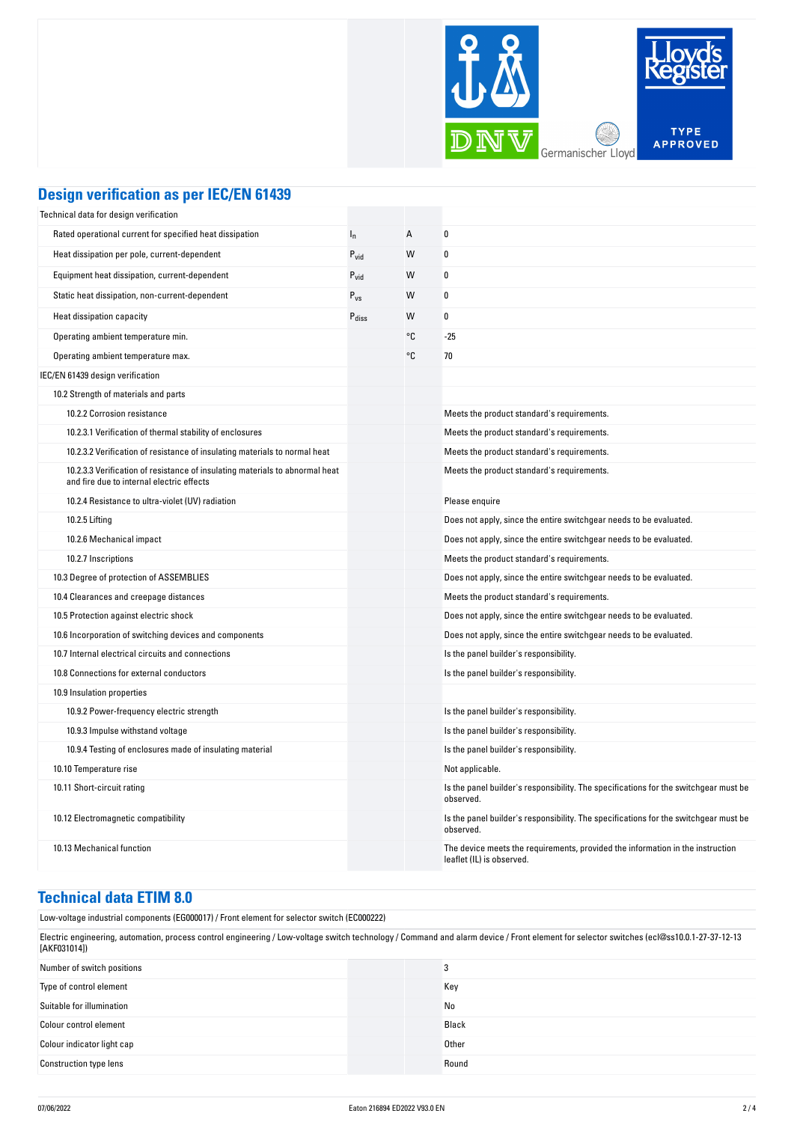

### **Design verification as per IEC/EN 61439**

| Technical data for design verification                                                                                    |                   |    |                                                                                                             |
|---------------------------------------------------------------------------------------------------------------------------|-------------------|----|-------------------------------------------------------------------------------------------------------------|
| Rated operational current for specified heat dissipation                                                                  | $I_{n}$           | А  | 0                                                                                                           |
| Heat dissipation per pole, current-dependent                                                                              | $P_{\text{vid}}$  | W  | 0                                                                                                           |
| Equipment heat dissipation, current-dependent                                                                             | $P_{vid}$         | W  | 0                                                                                                           |
| Static heat dissipation, non-current-dependent                                                                            | $P_{VS}$          | W  | 0                                                                                                           |
| Heat dissipation capacity                                                                                                 | $P_{\text{diss}}$ | W  | 0                                                                                                           |
| Operating ambient temperature min.                                                                                        |                   | °C | $-25$                                                                                                       |
| Operating ambient temperature max.                                                                                        |                   | °C | 70                                                                                                          |
| IEC/EN 61439 design verification                                                                                          |                   |    |                                                                                                             |
| 10.2 Strength of materials and parts                                                                                      |                   |    |                                                                                                             |
| 10.2.2 Corrosion resistance                                                                                               |                   |    | Meets the product standard's requirements.                                                                  |
| 10.2.3.1 Verification of thermal stability of enclosures                                                                  |                   |    | Meets the product standard's requirements.                                                                  |
| 10.2.3.2 Verification of resistance of insulating materials to normal heat                                                |                   |    | Meets the product standard's requirements.                                                                  |
| 10.2.3.3 Verification of resistance of insulating materials to abnormal heat<br>and fire due to internal electric effects |                   |    | Meets the product standard's requirements.                                                                  |
| 10.2.4 Resistance to ultra-violet (UV) radiation                                                                          |                   |    | Please enquire                                                                                              |
| 10.2.5 Lifting                                                                                                            |                   |    | Does not apply, since the entire switchgear needs to be evaluated.                                          |
| 10.2.6 Mechanical impact                                                                                                  |                   |    | Does not apply, since the entire switchgear needs to be evaluated.                                          |
| 10.2.7 Inscriptions                                                                                                       |                   |    | Meets the product standard's requirements.                                                                  |
| 10.3 Degree of protection of ASSEMBLIES                                                                                   |                   |    | Does not apply, since the entire switchgear needs to be evaluated.                                          |
| 10.4 Clearances and creepage distances                                                                                    |                   |    | Meets the product standard's requirements.                                                                  |
| 10.5 Protection against electric shock                                                                                    |                   |    | Does not apply, since the entire switchgear needs to be evaluated.                                          |
| 10.6 Incorporation of switching devices and components                                                                    |                   |    | Does not apply, since the entire switchgear needs to be evaluated.                                          |
| 10.7 Internal electrical circuits and connections                                                                         |                   |    | Is the panel builder's responsibility.                                                                      |
| 10.8 Connections for external conductors                                                                                  |                   |    | Is the panel builder's responsibility.                                                                      |
| 10.9 Insulation properties                                                                                                |                   |    |                                                                                                             |
| 10.9.2 Power-frequency electric strength                                                                                  |                   |    | Is the panel builder's responsibility.                                                                      |
| 10.9.3 Impulse withstand voltage                                                                                          |                   |    | Is the panel builder's responsibility.                                                                      |
| 10.9.4 Testing of enclosures made of insulating material                                                                  |                   |    | Is the panel builder's responsibility.                                                                      |
| 10.10 Temperature rise                                                                                                    |                   |    | Not applicable.                                                                                             |
| 10.11 Short-circuit rating                                                                                                |                   |    | Is the panel builder's responsibility. The specifications for the switchgear must be<br>observed.           |
| 10.12 Electromagnetic compatibility                                                                                       |                   |    | Is the panel builder's responsibility. The specifications for the switchgear must be<br>observed.           |
| 10.13 Mechanical function                                                                                                 |                   |    | The device meets the requirements, provided the information in the instruction<br>leaflet (IL) is observed. |

#### **Technical data ETIM 8.0**

Low-voltage industrial components (EG000017) / Front element for selector switch (EC000222)

Electric engineering, automation, process control engineering / Low-voltage switch technology / Command and alarm device / Front element for selector switches (ecl@ss10.0.1-27-37-12-13 [AKF031014])

| Number of switch positions    | υ     |
|-------------------------------|-------|
| Type of control element       | Key   |
| Suitable for illumination     | No    |
| Colour control element        | Black |
| Colour indicator light cap    | Other |
| <b>Construction type lens</b> | Round |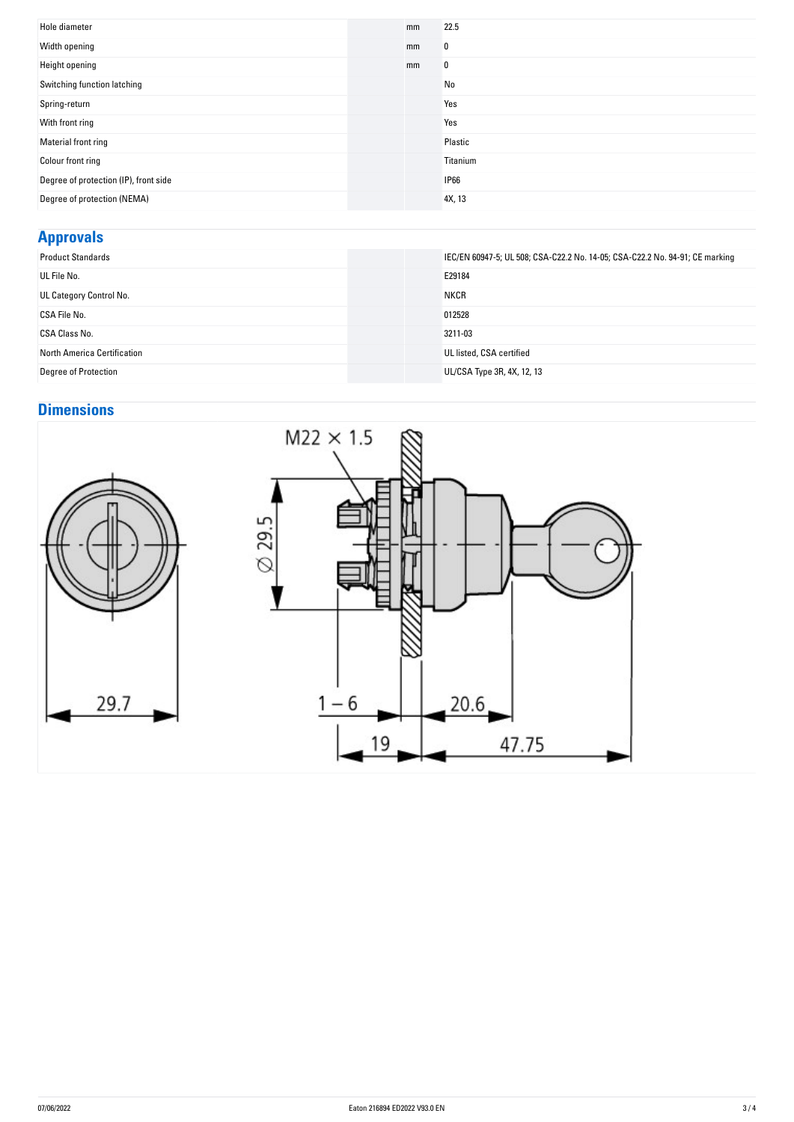| Hole diameter                         | mm | 22.5        |
|---------------------------------------|----|-------------|
| Width opening                         | mm | 0           |
| Height opening                        | mm | 0           |
| Switching function latching           |    | No          |
| Spring-return                         |    | Yes         |
| With front ring                       |    | Yes         |
| Material front ring                   |    | Plastic     |
| Colour front ring                     |    | Titanium    |
| Degree of protection (IP), front side |    | <b>IP66</b> |
| Degree of protection (NEMA)           |    | 4X, 13      |

## **Approvals**

| <b>Product Standards</b>    | IEC/EN 60947-5; UL 508; CSA-C22.2 No. 14-05; CSA-C22.2 No. 94-91; CE marking |
|-----------------------------|------------------------------------------------------------------------------|
| UL File No.                 | E29184                                                                       |
| UL Category Control No.     | <b>NKCR</b>                                                                  |
| CSA File No.                | 012528                                                                       |
| CSA Class No.               | 3211-03                                                                      |
| North America Certification | UL listed, CSA certified                                                     |
| <b>Degree of Protection</b> | UL/CSA Type 3R, 4X, 12, 13                                                   |

# **Dimensions**